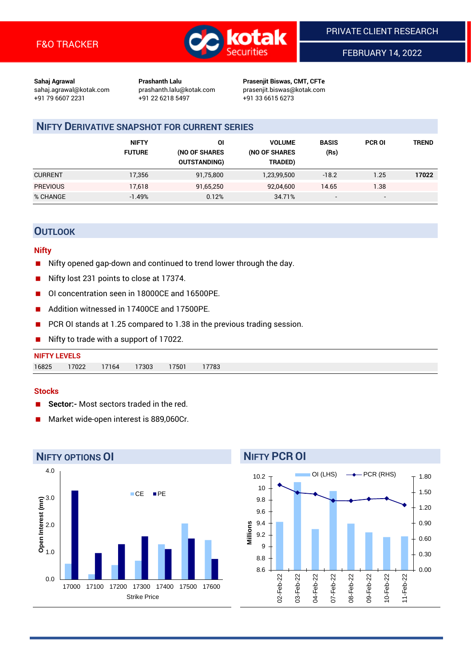

FEBRUARY 14, 2022

**Sahaj Agrawal Prashanth Lalu Prasenjit Biswas, CMT, CFTe** +91 79 6607 2231 +91 22 6218 5497 +91 33 6615 6273

sahaj.agrawal@kotak.com [prashanth.lalu@kotak.com](mailto:prashanth.lalu@kotak.com) prasenjit.biswas@kotak.com

## **NIFTY DERIVATIVE SNAPSHOT FOR CURRENT SERIES**

|                 | <b>NIFTY</b><br><b>FUTURE</b> | OI<br>(NO OF SHARES<br><b>OUTSTANDING)</b> | <b>VOLUME</b><br>(NO OF SHARES<br>TRADED) | <b>BASIS</b><br>(Rs)     | <b>PCR OI</b>            | <b>TREND</b> |
|-----------------|-------------------------------|--------------------------------------------|-------------------------------------------|--------------------------|--------------------------|--------------|
| <b>CURRENT</b>  | 17,356                        | 91,75,800                                  | 1,23,99,500                               | $-18.2$                  | 1.25                     | 17022        |
| <b>PREVIOUS</b> | 17,618                        | 91,65,250                                  | 92,04,600                                 | 14.65                    | 1.38                     |              |
| % CHANGE        | $-1.49%$                      | 0.12%                                      | 34.71%                                    | $\overline{\phantom{a}}$ | $\overline{\phantom{0}}$ |              |

## **OUTLOOK**

### **Nifty**

- Nifty opened gap-down and continued to trend lower through the day.
- Nifty lost 231 points to close at 17374.
- OI concentration seen in 18000CE and 16500PE.
- Addition witnessed in 17400CF and 17500PF.
- PCR OI stands at 1.25 compared to 1.38 in the previous trading session.
- Nifty to trade with a support of 17022.

## **NIFTY LEVELS** 16825 17022 17164 17303 17501 17783

#### **Stocks**

- **Sector:-** Most sectors traded in the red.
- Market wide-open interest is 889,060Cr.



# **NIFTY PCR OI**

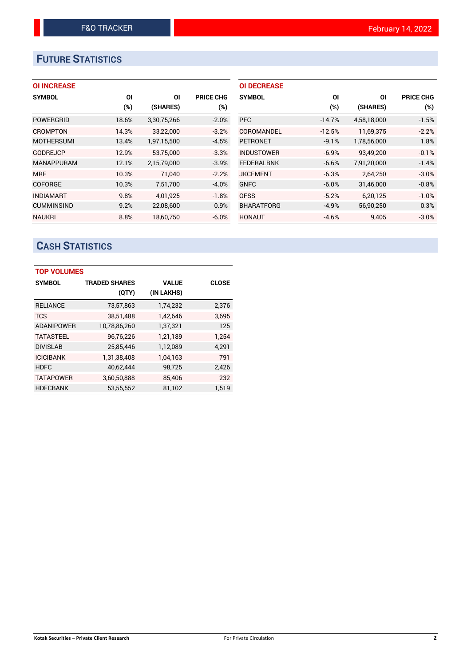# **FUTURE STATISTICS**

## **OI INCREASE**

| <b>SYMBOL</b>     | ΟI    | ΟI          | <b>PRICE CHG</b> |
|-------------------|-------|-------------|------------------|
|                   | (%)   | (SHARES)    | (%)              |
| POWERGRID         | 18.6% | 3,30,75,266 | $-2.0%$          |
| <b>CROMPTON</b>   | 14.3% | 33,22,000   | $-3.2%$          |
| <b>MOTHERSUMI</b> | 13.4% | 1,97,15,500 | $-4.5%$          |
| <b>GODREJCP</b>   | 12.9% | 53,75,000   | $-3.3%$          |
| <b>MANAPPURAM</b> | 12.1% | 2,15,79,000 | $-3.9%$          |
| <b>MRF</b>        | 10.3% | 71.040      | $-2.2%$          |
| <b>COFORGE</b>    | 10.3% | 7,51,700    | $-4.0%$          |
| <b>INDIAMART</b>  | 9.8%  | 4,01,925    | $-1.8%$          |
| <b>CUMMINSIND</b> | 9.2%  | 22,08,600   | 0.9%             |
| <b>NAUKRI</b>     | 8.8%  | 18.60.750   | $-6.0%$          |

| <b>OI DECREASE</b> |          |             |                  |
|--------------------|----------|-------------|------------------|
| <b>SYMBOL</b>      | ΟI       | ΟI          | <b>PRICE CHG</b> |
|                    | (%)      | (SHARES)    | $(\%)$           |
| <b>PFC</b>         | $-14.7%$ | 4,58,18,000 | $-1.5%$          |
| COROMANDEL         | $-12.5%$ | 11,69,375   | $-2.2%$          |
| <b>PETRONET</b>    | $-9.1%$  | 1,78,56,000 | 1.8%             |
| <b>INDUSTOWER</b>  | $-6.9%$  | 93,49,200   | $-0.1%$          |
| <b>FEDERALBNK</b>  | $-6.6%$  | 7,91,20,000 | $-1.4%$          |
| <b>JKCEMENT</b>    | $-6.3%$  | 2,64,250    | $-3.0%$          |
| <b>GNFC</b>        | $-6.0%$  | 31,46,000   | $-0.8%$          |
| <b>OFSS</b>        | $-5.2%$  | 6,20,125    | $-1.0%$          |
| <b>BHARATFORG</b>  | $-4.9%$  | 56,90,250   | 0.3%             |
| HONAUT             | $-4.6%$  | 9.405       | $-3.0%$          |

# **CASH STATISTICS**

| <b>TOP VOLUMES</b> |                      |              |              |  |  |  |  |  |
|--------------------|----------------------|--------------|--------------|--|--|--|--|--|
| <b>SYMBOL</b>      | <b>TRADED SHARES</b> | <b>VALUE</b> | <b>CLOSE</b> |  |  |  |  |  |
|                    | (QTY)                | (IN LAKHS)   |              |  |  |  |  |  |
| <b>RELIANCE</b>    | 73,57,863            | 1,74,232     | 2,376        |  |  |  |  |  |
| <b>TCS</b>         | 38,51,488            | 1,42,646     | 3,695        |  |  |  |  |  |
| <b>ADANIPOWER</b>  | 10,78,86,260         | 1,37,321     | 125          |  |  |  |  |  |
| <b>TATASTEEL</b>   | 96,76,226            | 1,21,189     | 1.254        |  |  |  |  |  |
| <b>DIVISLAB</b>    | 25,85,446            | 1,12,089     | 4,291        |  |  |  |  |  |
| <b>ICICIBANK</b>   | 1,31,38,408          | 1,04,163     | 791          |  |  |  |  |  |
| <b>HDFC</b>        | 40,62,444            | 98,725       | 2,426        |  |  |  |  |  |
| <b>TATAPOWER</b>   | 3,60,50,888          | 85,406       | 232          |  |  |  |  |  |
| <b>HDFCBANK</b>    | 53,55,552            | 81,102       | 1.519        |  |  |  |  |  |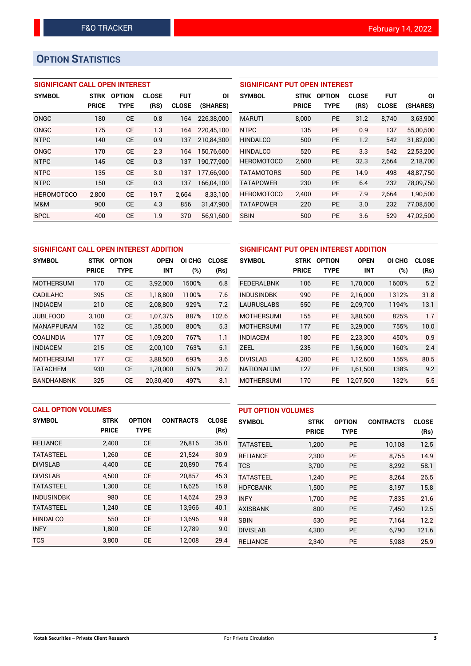# **OPTION STATISTICS**

## **SIGNIFICANT CALL OPEN INTEREST**

| <b>SYMBOL</b>     | <b>STRK</b>  | <b>OPTION</b> | <b>CLOSE</b> | <b>FUT</b>   | ΟI         |
|-------------------|--------------|---------------|--------------|--------------|------------|
|                   | <b>PRICE</b> | TYPE          | (RS)         | <b>CLOSE</b> | (SHARES)   |
| ONGC              | 180          | <b>CE</b>     | 0.8          | 164          | 226.38.000 |
| ONGC              | 175          | СE            | 1.3          | 164          | 220,45,100 |
| <b>NTPC</b>       | 140          | CE            | 0.9          | 137          | 210,84,300 |
| ONGC              | 170          | <b>CE</b>     | 2.3          | 164          | 150,76,600 |
| <b>NTPC</b>       | 145          | СE            | 0.3          | 137          | 190,77,900 |
| <b>NTPC</b>       | 135          | CE            | 3.0          | 137          | 177,66,900 |
| <b>NTPC</b>       | 150          | СE            | 0.3          | 137          | 166,04,100 |
| <b>HEROMOTOCO</b> | 2,800        | CE            | 19.7         | 2,664        | 8,33,100   |
| M&M               | 900          | СE            | 4.3          | 856          | 31,47,900  |
| <b>BPCL</b>       | 400          | CE            | 1.9          | 370          | 56.91.600  |

## **SIGNIFICANT PUT OPEN INTEREST**

| <b>SYMBOL</b>     | <b>STRK</b><br><b>PRICE</b> | <b>OPTION</b><br><b>TYPE</b> | <b>CLOSE</b><br>(RS) | <b>FUT</b><br><b>CLOSE</b> | ΟI<br>(SHARES) |
|-------------------|-----------------------------|------------------------------|----------------------|----------------------------|----------------|
| <b>MARUTI</b>     | 8,000                       | PF                           | 31.2                 | 8.740                      | 3,63,900       |
| <b>NTPC</b>       | 135                         | <b>PE</b>                    | 0.9                  | 137                        | 55,00,500      |
| <b>HINDALCO</b>   | 500                         | <b>PE</b>                    | 1.2                  | 542                        | 31,82,000      |
| <b>HINDALCO</b>   | 520                         | PF                           | 3.3                  | 542                        | 22,53,200      |
| <b>HEROMOTOCO</b> | 2,600                       | <b>PE</b>                    | 32.3                 | 2,664                      | 2,18,700       |
| <b>TATAMOTORS</b> | 500                         | <b>PE</b>                    | 14.9                 | 498                        | 48.87.750      |
| <b>TATAPOWER</b>  | 230                         | <b>PE</b>                    | 6.4                  | 232                        | 78,09,750      |
| <b>HEROMOTOCO</b> | 2,400                       | <b>PE</b>                    | 7.9                  | 2,664                      | 1,90,500       |
| <b>TATAPOWER</b>  | 220                         | <b>PE</b>                    | 3.0                  | 232                        | 77,08,500      |
| <b>SBIN</b>       | 500                         | <b>PE</b>                    | 3.6                  | 529                        | 47,02,500      |

| SIGNIFICANT CALL OPEN INTEREST ADDITION |                             |                       |                           |               |                      |  |
|-----------------------------------------|-----------------------------|-----------------------|---------------------------|---------------|----------------------|--|
| <b>SYMBOL</b>                           | <b>STRK</b><br><b>PRICE</b> | <b>OPTION</b><br>TYPE | <b>OPEN</b><br><b>INT</b> | OI CHG<br>(%) | <b>CLOSE</b><br>(Rs) |  |
| <b>MOTHERSUMI</b>                       | 170                         | <b>CE</b>             | 3,92,000                  | 1500%         | 6.8                  |  |
| <b>CADILAHC</b>                         | 395                         | <b>CE</b>             | 1.18.800                  | 1100%         | 7.6                  |  |
| <b>INDIACEM</b>                         | 210                         | СE                    | 2,08,800                  | 929%          | 7.2                  |  |
| <b>JUBLFOOD</b>                         | 3,100                       | СE                    | 1.07.375                  | 887%          | 102.6                |  |
| <b>MANAPPURAM</b>                       | 152                         | <b>CE</b>             | 1,35,000                  | 800%          | 5.3                  |  |
| COALINDIA                               | 177                         | <b>CE</b>             | 1.09.200                  | 767%          | 1.1                  |  |
| <b>INDIACEM</b>                         | 215                         | <b>CE</b>             | 2,00,100                  | 763%          | 5.1                  |  |
| <b>MOTHERSUMI</b>                       | 177                         | <b>CE</b>             | 3,88,500                  | 693%          | 3.6                  |  |
| <b>TATACHEM</b>                         | 930                         | CЕ                    | 1,70,000                  | 507%          | 20.7                 |  |
| <b>BANDHANBNK</b>                       | 325                         | <b>CE</b>             | 20.30.400                 | 497%          | 8.1                  |  |

| SIGNIFICANT PUT OPEN INTEREST ADDITION |              |               |             |        |              |  |  |  |
|----------------------------------------|--------------|---------------|-------------|--------|--------------|--|--|--|
| <b>SYMBOL</b>                          | <b>STRK</b>  | <b>OPTION</b> | <b>OPEN</b> | OI CHG | <b>CLOSE</b> |  |  |  |
|                                        | <b>PRICE</b> | TYPE          | INT         | $(\%)$ | (Rs)         |  |  |  |
| <b>FEDERALBNK</b>                      | 106          | <b>PE</b>     | 1,70,000    | 1600%  | 5.2          |  |  |  |
| <b>INDUSINDBK</b>                      | 990          | <b>PE</b>     | 2,16,000    | 1312%  | 31.8         |  |  |  |
| <b>LAURUSLABS</b>                      | 550          | PE            | 2,09,700    | 1194%  | 13.1         |  |  |  |
| <b>MOTHERSUMI</b>                      | 155          | <b>PE</b>     | 3,88,500    | 825%   | 1.7          |  |  |  |
| <b>MOTHERSUMI</b>                      | 177          | <b>PE</b>     | 3,29,000    | 755%   | 10.0         |  |  |  |
| <b>INDIACEM</b>                        | 180          | <b>PE</b>     | 2,23,300    | 450%   | 0.9          |  |  |  |
| ZEEL                                   | 235          | <b>PE</b>     | 1,56,000    | 160%   | 2.4          |  |  |  |
| <b>DIVISLAB</b>                        | 4.200        | <b>PE</b>     | 1,12,600    | 155%   | 80.5         |  |  |  |
| <b>NATIONALUM</b>                      | 127          | <b>PE</b>     | 1,61,500    | 138%   | 9.2          |  |  |  |
| <b>MOTHERSUMI</b>                      | 170          | PE            | 12,07,500   | 132%   | 5.5          |  |  |  |

| <b>CALL OPTION VOLUMES</b> |              |               |                  | <b>PUT OPTION VOLUMES</b> |                  |              |               |                  |              |
|----------------------------|--------------|---------------|------------------|---------------------------|------------------|--------------|---------------|------------------|--------------|
| <b>SYMBOL</b>              | <b>STRK</b>  | <b>OPTION</b> | <b>CONTRACTS</b> | <b>CLOSE</b>              | <b>SYMBOL</b>    | <b>STRK</b>  | <b>OPTION</b> | <b>CONTRACTS</b> | <b>CLOSE</b> |
|                            | <b>PRICE</b> | <b>TYPE</b>   |                  | (Rs)                      |                  | <b>PRICE</b> | <b>TYPE</b>   |                  | (Rs)         |
| <b>RELIANCE</b>            | 2,400        | <b>CE</b>     | 26,816           | 35.0                      | <b>TATASTEEL</b> | 1,200        | <b>PE</b>     | 10,108           | 12.5         |
| <b>TATASTEEL</b>           | 1.260        | <b>CE</b>     | 21,524           | 30.9                      | <b>RELIANCE</b>  | 2,300        | <b>PE</b>     | 8.755            | 14.9         |
| <b>DIVISLAB</b>            | 4.400        | <b>CE</b>     | 20,890           | 75.4                      | <b>TCS</b>       | 3.700        | <b>PE</b>     | 8,292            | 58.1         |
| <b>DIVISLAB</b>            | 4.500        | <b>CE</b>     | 20.857           | 45.3                      | <b>TATASTEEL</b> | 1.240        | <b>PE</b>     | 8.264            | 26.5         |
| <b>TATASTEEL</b>           | 1,300        | <b>CE</b>     | 16,625           | 15.8                      | <b>HDFCBANK</b>  | 1,500        | <b>PE</b>     | 8,197            | 15.8         |
| <b>INDUSINDBK</b>          | 980          | <b>CE</b>     | 14.624           | 29.3                      | <b>INFY</b>      | 1.700        | <b>PE</b>     | 7.835            | 21.6         |
| <b>TATASTEEL</b>           | 1,240        | <b>CE</b>     | 13,966           | 40.1                      | <b>AXISBANK</b>  | 800          | <b>PE</b>     | 7,450            | 12.5         |
| <b>HINDALCO</b>            | 550          | <b>CE</b>     | 13.696           | 9.8                       | <b>SBIN</b>      | 530          | <b>PE</b>     | 7.164            | 12.2         |
| <b>INFY</b>                | 1.800        | <b>CE</b>     | 12,789           | 9.0                       | <b>DIVISLAB</b>  | 4.300        | <b>PE</b>     | 6.790            | 121.6        |
| <b>TCS</b>                 | 3.800        | <b>CE</b>     | 12,008           | 29.4                      | <b>RELIANCE</b>  | 2.340        | PE            | 5,988            | 25.9         |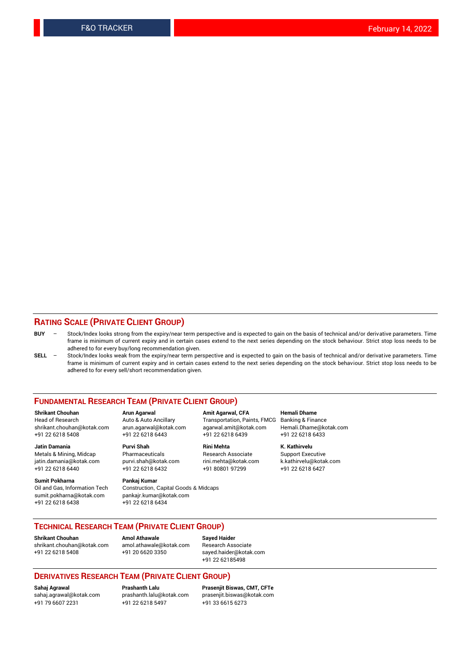## **RATING SCALE (PRIVATE CLIENT GROUP)**

- **BUY**  Stock/Index looks strong from the expiry/near term perspective and is expected to gain on the basis of technical and/or derivative parameters. Time frame is minimum of current expiry and in certain cases extend to the next series depending on the stock behaviour. Strict stop loss needs to be adhered to for every buy/long recommendation given.
- **SELL** Stock/Index looks weak from the expiry/near term perspective and is expected to gain on the basis of technical and/or derivative parameters. Time frame is minimum of current expiry and in certain cases extend to the next series depending on the stock behaviour. Strict stop loss needs to be adhered to for every sell/short recommendation given.

#### **FUNDAMENTAL RESEARCH TEAM (PRIVATE CLIENT GROUP)**

**Shrikant Chouhan Arun Agarwal Amit Agarwal, CFA Hemali Dhame** +91 22 6218 5408 +91 22 6218 6443 +91 22 6218 6439 +91 22 6218 6433

jatin.damania@kotak.com +91 22 6218 6440 +91 22 6218 6432 +91 80801 97299 +91 22 6218 6427

**Sumit Pokharna** Pankaj Kumar<br>Oil and Gas, Information Tech Construction, sumit.pokharna@kotak.com pankajr.kumar@kotak.com +91 22 6218 6438 +91 22 6218 6434

**Jatin Damania Purvi Shah Rini Mehta K. Kathirvelu**

Construction, Capital Goods & Midcaps

Transportation, Paints, FMCG Banking & Finance shrikant.chouhan@kotak.com arun.agarwal@kotak.com agarwal.amit@kotak.com Hemali.Dhame@kotak.com

Metals & Mining, Midcap Pharmaceuticals Research Associate Support Executive<br>
jatin.damania@kotak.com purvi.shah@kotak.com rini.mehta@kotak.com k.kathirvelu@kotak.com

## **TECHNICAL RESEARCH TEAM (PRIVATE CLIENT GROUP)**

**Shrikant Chouhan Amol Athawale Sayed Haider** [shrikant.chouhan@kotak.com](mailto:shrikant.chouhan@kotak.com) [amol.athawale@kotak.com](mailto:amol.athawale@kotak.com) Research Associate +91 22 6218 5408 +91 20 6620 3350 [sayed.haider@kotak.com](mailto:sayed.haider@kotak.com)

+91 22 62185498

#### **DERIVATIVES RESEARCH TEAM (PRIVATE CLIENT GROUP)**

+91 79 6607 2231 +91 22 6218 5497 +91 33 6615 6273

**Sahaj Agrawal Prashanth Lalu Prasenjit Biswas, CMT, CFTe** [sahaj.agrawal@kotak.com](mailto:sahaj.agrawal@kotak.com) [prashanth.lalu@kotak.com](mailto:prashanth.lalu@kotak.com) [prasenjit.biswas@kotak.com](mailto:prasenjit.biswas@kotak.com)